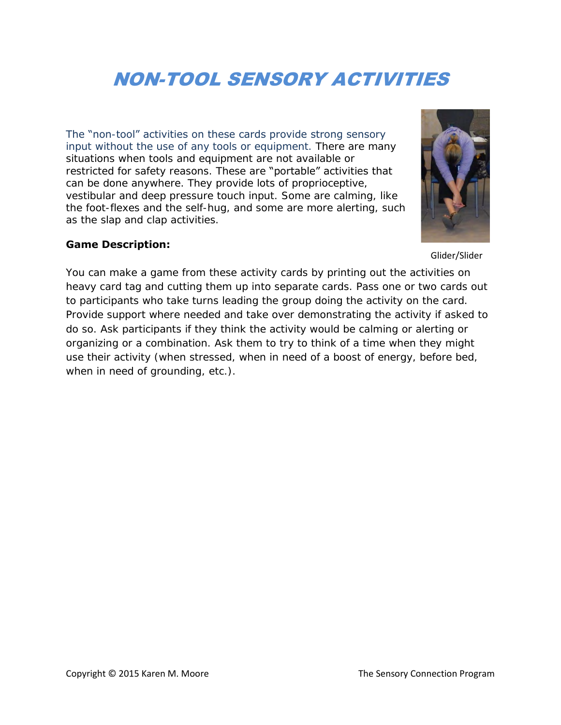# NON-TOOL SENSORY ACTIVITIES

The "non-tool" activities on these cards provide strong sensory input without the use of any tools or equipment. There are many situations when tools and equipment are not available or restricted for safety reasons. These are "portable" activities that can be done anywhere. They provide lots of proprioceptive, vestibular and deep pressure touch input. Some are calming, like the foot-flexes and the self-hug, and some are more alerting, such as the slap and clap activities.

#### **Game Description:**

#### Glider/Slider

You can make a game from these activity cards by printing out the activities on heavy card tag and cutting them up into separate cards. Pass one or two cards out to participants who take turns leading the group doing the activity on the card. Provide support where needed and take over demonstrating the activity if asked to do so. Ask participants if they think the activity would be calming or alerting or organizing or a combination. Ask them to try to think of a time when they might use their activity (when stressed, when in need of a boost of energy, before bed, when in need of grounding, etc.).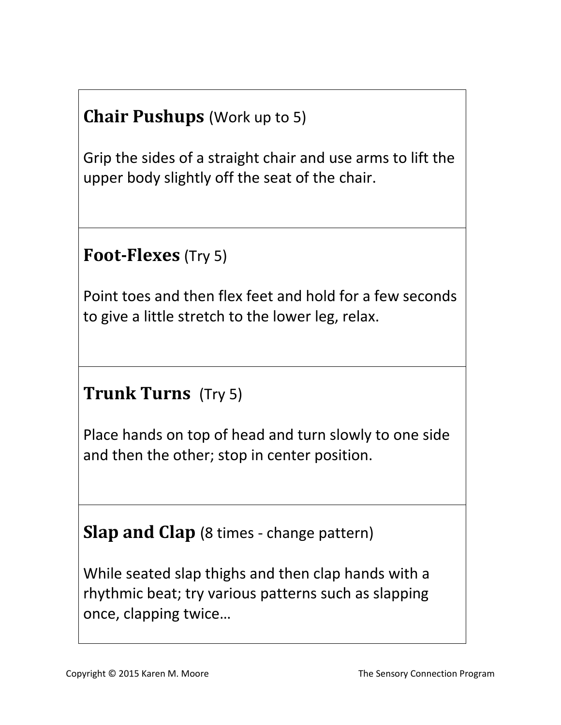## **Chair Pushups** (Work up to 5)

Grip the sides of a straight chair and use arms to lift the upper body slightly off the seat of the chair.

### **Foot-Flexes** (Try 5)

Point toes and then flex feet and hold for a few seconds to give a little stretch to the lower leg, relax.

## **Trunk Turns** (Try 5)

Place hands on top of head and turn slowly to one side and then the other; stop in center position.

### **Slap and Clap** (8 times - change pattern)

While seated slap thighs and then clap hands with a rhythmic beat; try various patterns such as slapping once, clapping twice…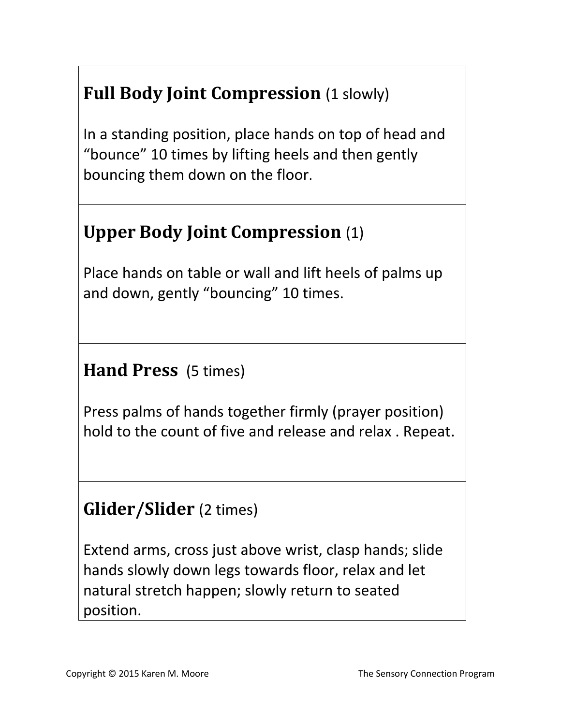# **Full Body Joint Compression** (1 slowly)

In a standing position, place hands on top of head and "bounce" 10 times by lifting heels and then gently bouncing them down on the floor.

## **Upper Body Joint Compression** (1)

Place hands on table or wall and lift heels of palms up and down, gently "bouncing" 10 times.

**Hand Press** (5 times)

Press palms of hands together firmly (prayer position) hold to the count of five and release and relax . Repeat.

### **Glider/Slider** (2 times)

Extend arms, cross just above wrist, clasp hands; slide hands slowly down legs towards floor, relax and let natural stretch happen; slowly return to seated position.